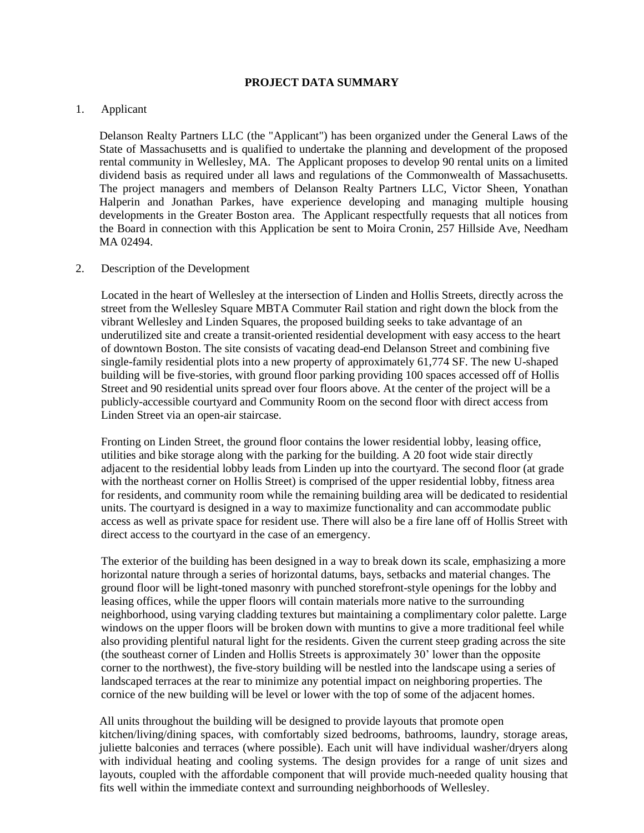## **PROJECT DATA SUMMARY**

## 1. Applicant

Delanson Realty Partners LLC (the "Applicant") has been organized under the General Laws of the State of Massachusetts and is qualified to undertake the planning and development of the proposed rental community in Wellesley, MA. The Applicant proposes to develop 90 rental units on a limited dividend basis as required under all laws and regulations of the Commonwealth of Massachusetts. The project managers and members of Delanson Realty Partners LLC, Victor Sheen, Yonathan Halperin and Jonathan Parkes, have experience developing and managing multiple housing developments in the Greater Boston area. The Applicant respectfully requests that all notices from the Board in connection with this Application be sent to Moira Cronin, 257 Hillside Ave, Needham MA 02494.

#### 2. Description of the Development

Located in the heart of Wellesley at the intersection of Linden and Hollis Streets, directly across the street from the Wellesley Square MBTA Commuter Rail station and right down the block from the vibrant Wellesley and Linden Squares, the proposed building seeks to take advantage of an underutilized site and create a transit-oriented residential development with easy access to the heart of downtown Boston. The site consists of vacating dead-end Delanson Street and combining five single-family residential plots into a new property of approximately 61,774 SF. The new U-shaped building will be five-stories, with ground floor parking providing 100 spaces accessed off of Hollis Street and 90 residential units spread over four floors above. At the center of the project will be a publicly-accessible courtyard and Community Room on the second floor with direct access from Linden Street via an open-air staircase.

Fronting on Linden Street, the ground floor contains the lower residential lobby, leasing office, utilities and bike storage along with the parking for the building. A 20 foot wide stair directly adjacent to the residential lobby leads from Linden up into the courtyard. The second floor (at grade with the northeast corner on Hollis Street) is comprised of the upper residential lobby, fitness area for residents, and community room while the remaining building area will be dedicated to residential units. The courtyard is designed in a way to maximize functionality and can accommodate public access as well as private space for resident use. There will also be a fire lane off of Hollis Street with direct access to the courtyard in the case of an emergency.

The exterior of the building has been designed in a way to break down its scale, emphasizing a more horizontal nature through a series of horizontal datums, bays, setbacks and material changes. The ground floor will be light-toned masonry with punched storefront-style openings for the lobby and leasing offices, while the upper floors will contain materials more native to the surrounding neighborhood, using varying cladding textures but maintaining a complimentary color palette. Large windows on the upper floors will be broken down with muntins to give a more traditional feel while also providing plentiful natural light for the residents. Given the current steep grading across the site (the southeast corner of Linden and Hollis Streets is approximately 30' lower than the opposite corner to the northwest), the five-story building will be nestled into the landscape using a series of landscaped terraces at the rear to minimize any potential impact on neighboring properties. The cornice of the new building will be level or lower with the top of some of the adjacent homes.

All units throughout the building will be designed to provide layouts that promote open kitchen/living/dining spaces, with comfortably sized bedrooms, bathrooms, laundry, storage areas, juliette balconies and terraces (where possible). Each unit will have individual washer/dryers along with individual heating and cooling systems. The design provides for a range of unit sizes and layouts, coupled with the affordable component that will provide much-needed quality housing that fits well within the immediate context and surrounding neighborhoods of Wellesley.